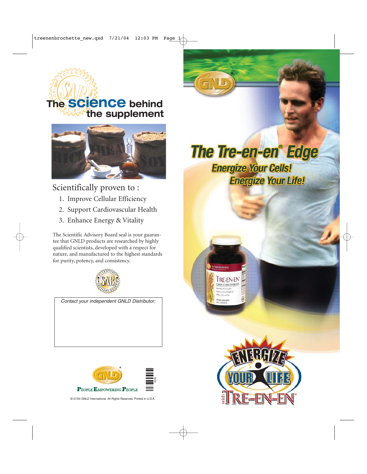# **The science behind the supplement**



#### Scientifically proven to :

- 1. Improve Cellular Efficiency
- 2. Support Cardiovascular Health
- 3. Enhance Energy & Vitality

The Scientific Advisory Board seal is your guarantee that GNLD products are researched by highly qualified scientists, developed with a respect for nature, and manufactured to the highest standards for purity, potency, and consistency.



*Contact your independent GNLD Distributor:*



© 07/04 GNLD International. All Rights Reserved. Printed in U.S.A.

**The Tre-en-en® Edge Energize Your Cells! Energize Your Life!**